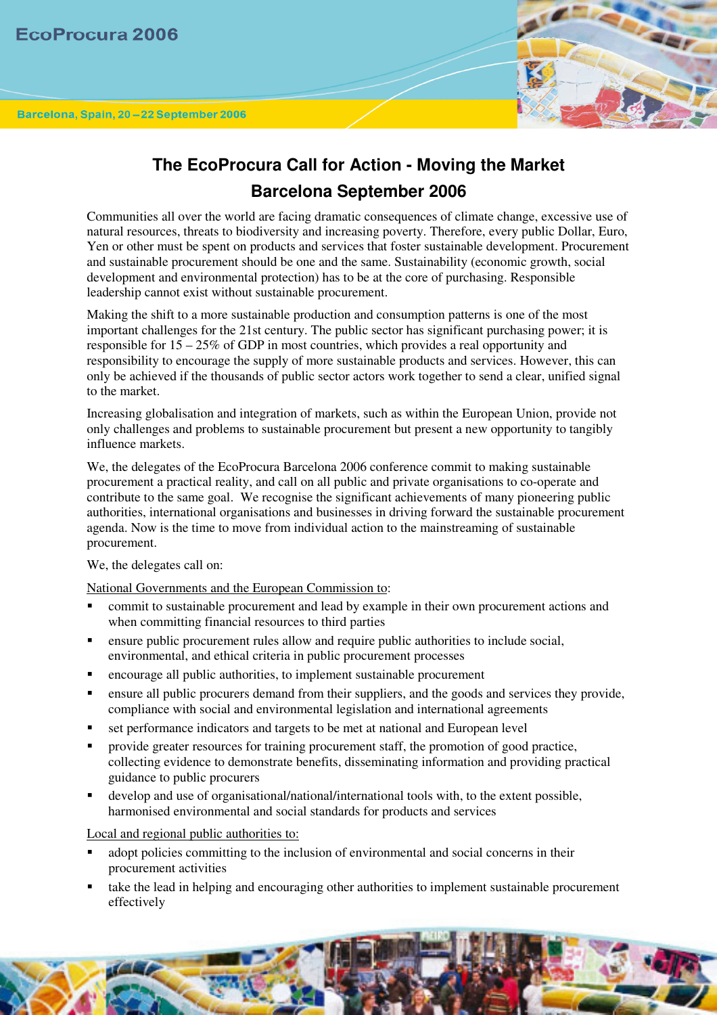

## **The EcoProcura Call for Action - Moving the Market Barcelona September 2006**

Communities all over the world are facing dramatic consequences of climate change, excessive use of natural resources, threats to biodiversity and increasing poverty. Therefore, every public Dollar, Euro, Yen or other must be spent on products and services that foster sustainable development. Procurement and sustainable procurement should be one and the same. Sustainability (economic growth, social development and environmental protection) has to be at the core of purchasing. Responsible leadership cannot exist without sustainable procurement.

Making the shift to a more sustainable production and consumption patterns is one of the most important challenges for the 21st century. The public sector has significant purchasing power; it is responsible for 15 – 25% of GDP in most countries, which provides a real opportunity and responsibility to encourage the supply of more sustainable products and services. However, this can only be achieved if the thousands of public sector actors work together to send a clear, unified signal to the market.

Increasing globalisation and integration of markets, such as within the European Union, provide not only challenges and problems to sustainable procurement but present a new opportunity to tangibly influence markets.

We, the delegates of the EcoProcura Barcelona 2006 conference commit to making sustainable procurement a practical reality, and call on all public and private organisations to co-operate and contribute to the same goal. We recognise the significant achievements of many pioneering public authorities, international organisations and businesses in driving forward the sustainable procurement agenda. Now is the time to move from individual action to the mainstreaming of sustainable procurement.

We, the delegates call on:

National Governments and the European Commission to:

- commit to sustainable procurement and lead by example in their own procurement actions and when committing financial resources to third parties
- ensure public procurement rules allow and require public authorities to include social, environmental, and ethical criteria in public procurement processes
- encourage all public authorities, to implement sustainable procurement
- ensure all public procurers demand from their suppliers, and the goods and services they provide, compliance with social and environmental legislation and international agreements
- set performance indicators and targets to be met at national and European level
- provide greater resources for training procurement staff, the promotion of good practice, collecting evidence to demonstrate benefits, disseminating information and providing practical guidance to public procurers
- develop and use of organisational/national/international tools with, to the extent possible, harmonised environmental and social standards for products and services

Local and regional public authorities to:

- adopt policies committing to the inclusion of environmental and social concerns in their procurement activities
- take the lead in helping and encouraging other authorities to implement sustainable procurement effectively